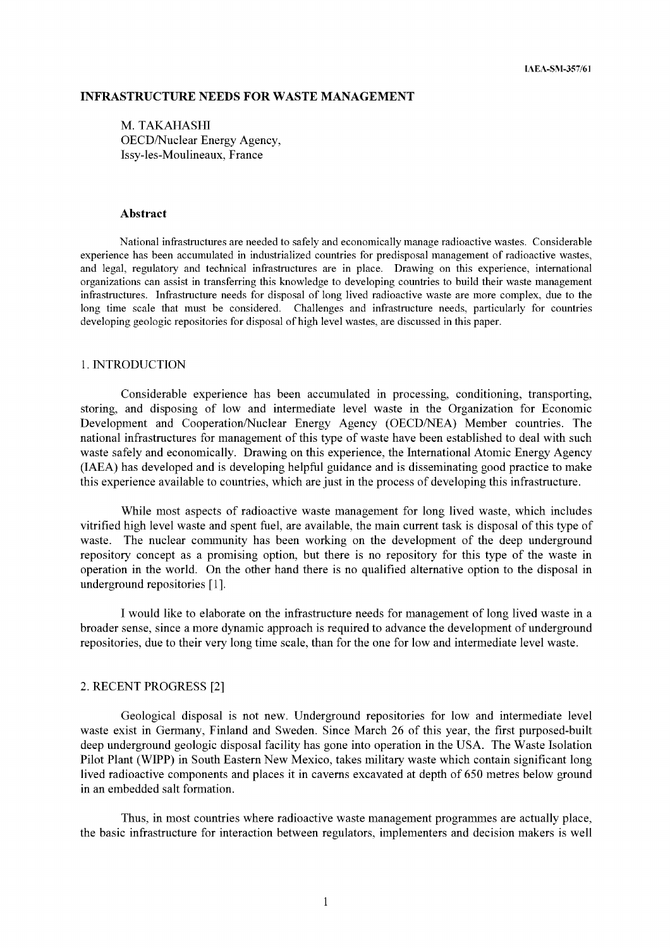### **INFRASTRUCTURE NEEDS FOR WASTE MANAGEMENT**

M. TAKAHASHI OECD/Nuclear Energy Agency, Issy-les-Moulineaux, France

#### **Abstract**

National infrastructures are needed to safely and economically manage radioactive wastes. Considerable experience has been accumulated in industrialized countries for predisposal management of radioactive wastes, and legal, regulatory and technical infrastructures are in place. Drawing on this experience, international organizations can assist in transferring this knowledge to developing countries to build their waste management infrastructures. Infrastructure needs for disposal of long lived radioactive waste are more complex, due to the long time scale that must be considered. Challenges and infrastructure needs, particularly for countries developing geologic repositories for disposal of high level wastes, are discussed in this paper.

#### 1. INTRODUCTION

Considerable experience has been accumulated in processing, conditioning, transporting, storing, and disposing of low and intermediate level waste in the Organization for Economic Development and Cooperation/Nuclear Energy Agency (OECD/NEA) Member countries. The national infrastructures for management of this type of waste have been established to deal with such waste safely and economically. Drawing on this experience, the International Atomic Energy Agency (IAEA) has developed and is developing helpful guidance and is disseminating good practice to make this experience available to countries, which are just in the process of developing this infrastructure.

While most aspects of radioactive waste management for long lived waste, which includes vitrified high level waste and spent fuel, are available, the main current task is disposal of this type of waste. The nuclear community has been working on the development of the deep underground repository concept as a promising option, but there is no repository for this type of the waste in operation in the world. On the other hand there is no qualified alternative option to the disposal in underground repositories [1].

I would like to elaborate on the infrastructure needs for management of long lived waste in a broader sense, since a more dynamic approach is required to advance the development of underground repositories, due to their very long time scale, than for the one for low and intermediate level waste.

### 2. RECENT PROGRESS [2]

Geological disposal is not new. Underground repositories for low and intermediate level waste exist in Germany, Finland and Sweden. Since March 26 of this year, the first purposed-built deep underground geologic disposal facility has gone into operation in the USA. The Waste Isolation Pilot Plant (WIPP) in South Eastern New Mexico, takes military waste which contain significant long lived radioactive components and places it in caverns excavated at depth of 650 metres below ground in an embedded salt formation.

Thus, in most countries where radioactive waste management programmes are actually place, the basic infrastructure for interaction between regulators, implementers and decision makers is well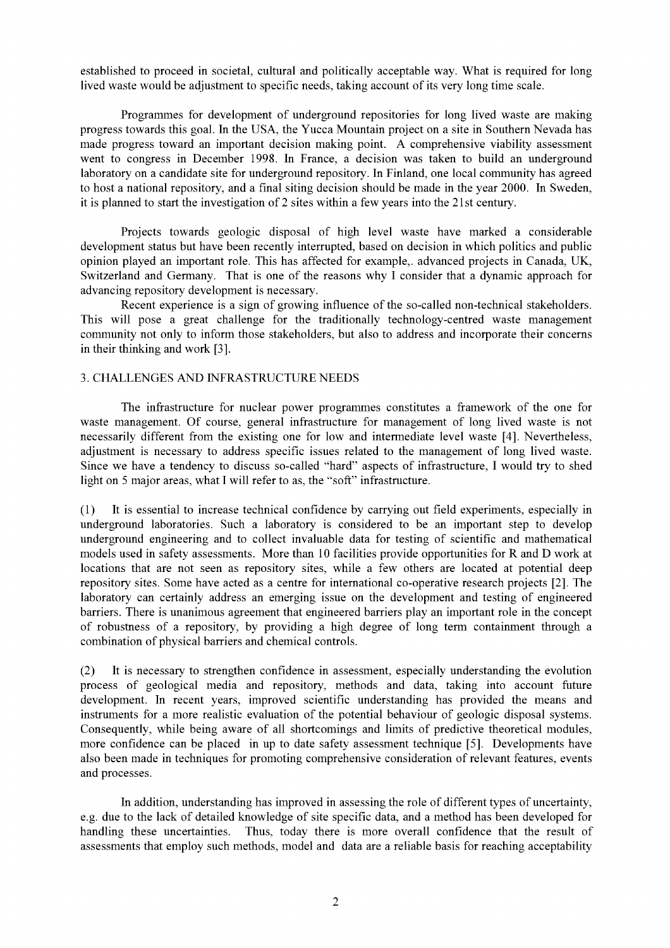established to proceed in societal, cultural and politically acceptable way. What is required for long lived waste would be adjustment to specific needs, taking account of its very long time scale.

Programmes for development of underground repositories for long lived waste are making progress towards this goal. In the USA, the Yucca Mountain project on a site in Southern Nevada has made progress toward an important decision making point. A comprehensive viability assessment went to congress in December 1998. In France, a decision was taken to build an underground laboratory on a candidate site for underground repository. In Finland, one local community has agreed to host a national repository, and a final siting decision should be made in the year 2000. In Sweden, it is planned to start the investigation of 2 sites within a few years into the 21st century.

Projects towards geologic disposal of high level waste have marked a considerable development status but have been recently interrupted, based on decision in which politics and public opinion played an important role. This has affected for example,, advanced projects in Canada, UK, Switzerland and Germany. That is one of the reasons why I consider that a dynamic approach for advancing repository development is necessary.

Recent experience is a sign of growing influence of the so-called non-technical stakeholders. This will pose a great challenge for the traditionally technology-centred waste management community not only to inform those stakeholders, but also to address and incorporate their concerns in their thinking and work [3].

# 3. CHALLENGES AND INFRASTRUCTURE NEEDS

The infrastructure for nuclear power programmes constitutes a framework of the one for waste management. Of course, general infrastructure for management of long lived waste is not necessarily different from the existing one for low and intermediate level waste [4]. Nevertheless, adjustment is necessary to address specific issues related to the management of long lived waste. Since we have a tendency to discuss so-called "hard" aspects of infrastructure, I would try to shed light on 5 major areas, what I will refer to as, the "soft" infrastructure.

(1) It is essential to increase technical confidence by carrying out field experiments, especially in underground laboratories. Such a laboratory is considered to be an important step to develop underground engineering and to collect invaluable data for testing of scientific and mathematical models used in safety assessments. More than 10 facilities provide opportunities for R and D work at locations that are not seen as repository sites, while a few others are located at potential deep repository sites. Some have acted as a centre for international co-operative research projects [2]. The laboratory can certainly address an emerging issue on the development and testing of engineered barriers. There is unanimous agreement that engineered barriers play an important role in the concept of robustness of a repository, by providing a high degree of long term containment through a combination of physical barriers and chemical controls.

(2) It is necessary to strengthen confidence in assessment, especially understanding the evolution process of geological media and repository, methods and data, taking into account future development. In recent years, improved scientific understanding has provided the means and instruments for a more realistic evaluation of the potential behaviour of geologic disposal systems. Consequently, while being aware of all shortcomings and limits of predictive theoretical modules, more confidence can be placed in up to date safety assessment technique [5]. Developments have also been made in techniques for promoting comprehensive consideration of relevant features, events and processes.

In addition, understanding has improved in assessing the role of different types of uncertainty, e.g. due to the lack of detailed knowledge of site specific data, and a method has been developed for handling these uncertainties. Thus, today there is more overall confidence that the result of assessments that employ such methods, model and data are a reliable basis for reaching acceptability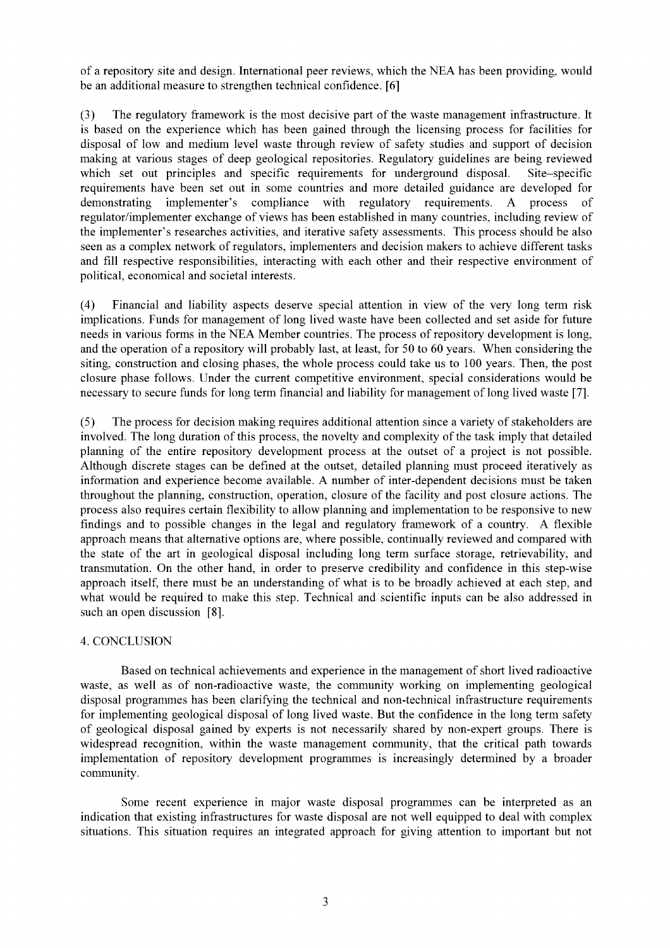of a repository site and design. International peer reviews, which the NEA has been providing, would be an additional measure to strengthen technical confidence. [6]

(3) The regulatory framework is the most decisive part of the waste management infrastructure. It is based on the experience which has been gained through the licensing process for facilities for disposal of low and medium level waste through review of safety studies and support of decision making at various stages of deep geological repositories. Regulatory guidelines are being reviewed which set out principles and specific requirements for underground disposal. Site-specific requirements have been set out in some countries and more detailed guidance are developed for demonstrating implementer's compliance with regulatory requirements. A process of regulator/implementer exchange of views has been established in many countries, including review of the implementer's researches activities, and iterative safety assessments. This process should be also seen as a complex network of regulators, implementers and decision makers to achieve different tasks and fill respective responsibilities, interacting with each other and their respective environment of political, economical and societal interests.

(4) Financial and liability aspects deserve special attention in view of the very long term risk implications. Funds for management of long lived waste have been collected and set aside for future needs in various forms in the NEA Member countries. The process of repository development is long, and the operation of a repository will probably last, at least, for 50 to 60 years. When considering the siting, construction and closing phases, the whole process could take us to 100 years. Then, the post closure phase follows. Under the current competitive environment, special considerations would be necessary to secure funds for long term financial and liability for management of long lived waste [7].

(5) The process for decision making requires additional attention since a variety of stakeholders are involved. The long duration of this process, the novelty and complexity of the task imply that detailed planning of the entire repository development process at the outset of a project is not possible. Although discrete stages can be defined at the outset, detailed planning must proceed iteratively as information and experience become available. A number of inter-dependent decisions must be taken throughout the planning, construction, operation, closure of the facility and post closure actions. The process also requires certain flexibility to allow planning and implementation to be responsive to new findings and to possible changes in the legal and regulatory framework of a country. A flexible approach means that alternative options are, where possible, continually reviewed and compared with the state of the art in geological disposal including long term surface storage, retrievability, and transmutation. On the other hand, in order to preserve credibility and confidence in this step-wise approach itself, there must be an understanding of what is to be broadly achieved at each step, and what would be required to make this step. Technical and scientific inputs can be also addressed in such an open discussion [8].

# 4. CONCLUSION

Based on technical achievements and experience in the management of short lived radioactive waste, as well as of non-radioactive waste, the community working on implementing geological disposal programmes has been clarifying the technical and non-technical infrastructure requirements for implementing geological disposal of long lived waste. But the confidence in the long term safety of geological disposal gained by experts is not necessarily shared by non-expert groups. There is widespread recognition, within the waste management community, that the critical path towards implementation of repository development programmes is increasingly determined by a broader community.

Some recent experience in major waste disposal programmes can be interpreted as an indication that existing infrastructures for waste disposal are not well equipped to deal with complex situations. This situation requires an integrated approach for giving attention to important but not